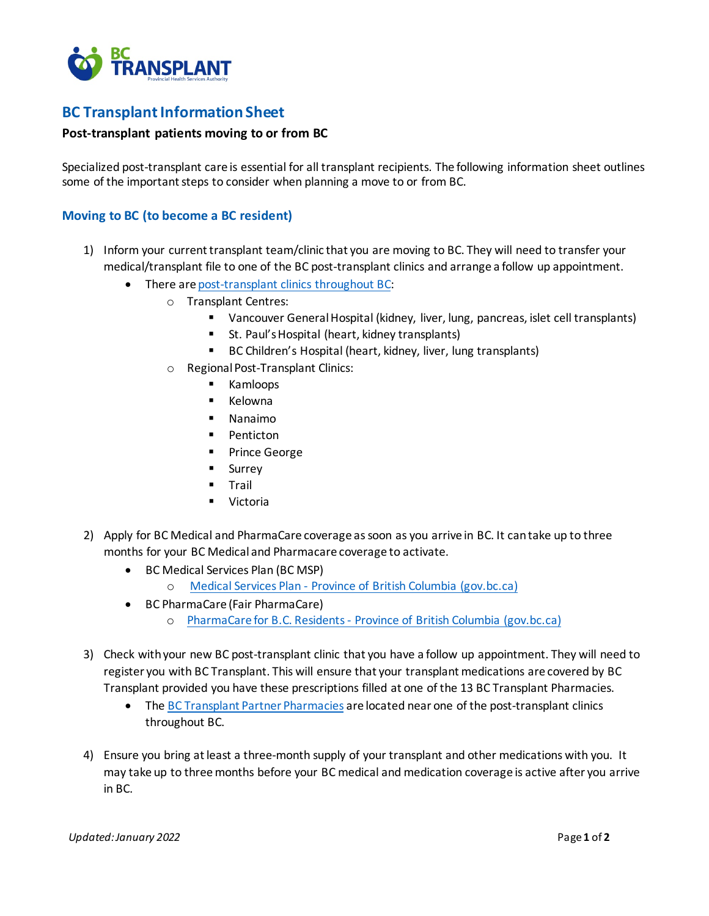

## **BC Transplant Information Sheet**

## **Post-transplant patients moving to or from BC**

Specialized post-transplant care is essential for all transplant recipients. The following information sheet outlines some of the important steps to consider when planning a move to or from BC.

## **Moving to BC (to become a BC resident)**

- 1) Inform your current transplant team/clinic that you are moving to BC. They will need to transfer your medical/transplant file to one of the BC post-transplant clinics and arrange a follow up appointment.
	- There ar[e post-transplant clinics throughout BC:](http://www.transplant.bc.ca/our-services/transplant-centres-clinics-pharmacies?filter=*®ion=*&postal=%27%27)
		- o Transplant Centres:
			- Vancouver General Hospital (kidney, liver, lung, pancreas, islet cell transplants)
			- St. Paul's Hospital (heart, kidney transplants)
			- BC Children's Hospital (heart, kidney, liver, lung transplants)
			- o Regional Post-Transplant Clinics:
				- **EXAMPLE**
				- **E** Kelowna
				- Nanaimo
				- **Penticton**
				- **Prince George**
				- Surrey
				- $\blacksquare$  Trail
				- Victoria
- 2) Apply for BC Medical and PharmaCare coverage as soon as you arrive in BC. It can take up to three months for your BC Medical and Pharmacare coverage to activate.
	- BC Medical Services Plan (BC MSP)
		- o Medical Services Plan [Province of British Columbia \(gov.bc.ca\)](https://www2.gov.bc.ca/gov/content/health/health-drug-coverage/msp)
	- BC PharmaCare (Fair PharmaCare)
		- o PharmaCare for B.C. Residents [Province of British Columbia \(gov.bc.ca\)](https://www2.gov.bc.ca/gov/content/health/health-drug-coverage/pharmacare-for-bc-residents)
- 3) Check with your new BC post-transplant clinic that you have a follow up appointment. They will need to register you with BC Transplant. This will ensure that your transplant medications are covered by BC Transplant provided you have these prescriptions filled at one of the 13 BC Transplant Pharmacies.
	- The [BC Transplant](http://www.transplant.bc.ca/our-services/transplant-centres-clinics-pharmacies?filter=%27Pharmacy%27®ion=*&postal=%27%27) Partner Pharmacies are located near one of the post-transplant clinics throughout BC.
- 4) Ensure you bring at least a three-month supply of your transplant and other medications with you. It may take up to threemonths before your BC medical and medication coverage is active after you arrive in BC.